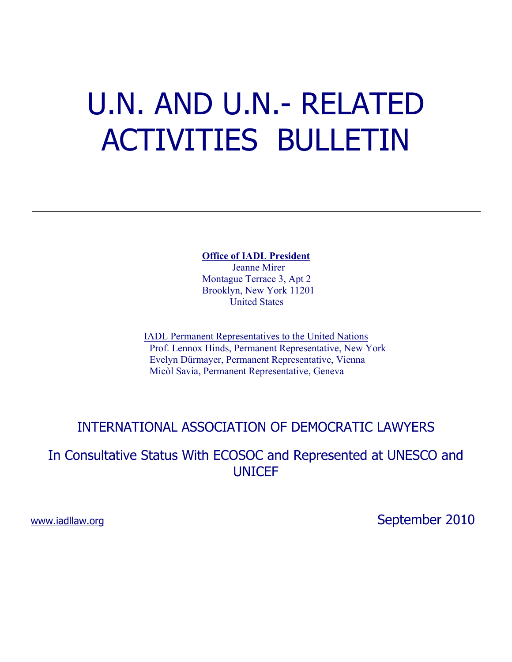# U.N. AND U.N.- RELATED ACTIVITIES BULLETIN

**Office of IADL President** Jeanne Mirer Montague Terrace 3, Apt 2 Brooklyn, New York 11201 United States

IADL Permanent Representatives to the United Nations Prof. Lennox Hinds, Permanent Representative, New York Evelyn Dürmayer, Permanent Representative, Vienna Micòl Savia, Permanent Representative, Geneva

# INTERNATIONAL ASSOCIATION OF DEMOCRATIC LAWYERS

In Consultative Status With ECOSOC and Represented at UNESCO and UNICEF

## www.iadllaw.org **September 2010**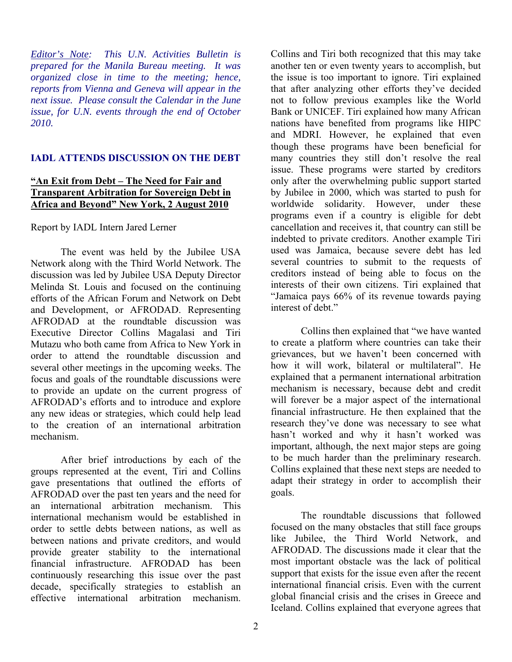*Editor's Note: This U.N. Activities Bulletin is prepared for the Manila Bureau meeting. It was organized close in time to the meeting; hence, reports from Vienna and Geneva will appear in the next issue. Please consult the Calendar in the June issue, for U.N. events through the end of October 2010.* 

#### **IADL ATTENDS DISCUSSION ON THE DEBT**

#### **"An Exit from Debt – The Need for Fair and Transparent Arbitration for Sovereign Debt in Africa and Beyond" New York, 2 August 2010**

Report by IADL Intern Jared Lerner

The event was held by the Jubilee USA Network along with the Third World Network. The discussion was led by Jubilee USA Deputy Director Melinda St. Louis and focused on the continuing efforts of the African Forum and Network on Debt and Development, or AFRODAD. Representing AFRODAD at the roundtable discussion was Executive Director Collins Magalasi and Tiri Mutazu who both came from Africa to New York in order to attend the roundtable discussion and several other meetings in the upcoming weeks. The focus and goals of the roundtable discussions were to provide an update on the current progress of AFRODAD's efforts and to introduce and explore any new ideas or strategies, which could help lead to the creation of an international arbitration mechanism.

After brief introductions by each of the groups represented at the event, Tiri and Collins gave presentations that outlined the efforts of AFRODAD over the past ten years and the need for an international arbitration mechanism. This international mechanism would be established in order to settle debts between nations, as well as between nations and private creditors, and would provide greater stability to the international financial infrastructure. AFRODAD has been continuously researching this issue over the past decade, specifically strategies to establish an effective international arbitration mechanism.

Collins and Tiri both recognized that this may take another ten or even twenty years to accomplish, but the issue is too important to ignore. Tiri explained that after analyzing other efforts they've decided not to follow previous examples like the World Bank or UNICEF. Tiri explained how many African nations have benefited from programs like HIPC and MDRI. However, he explained that even though these programs have been beneficial for many countries they still don't resolve the real issue. These programs were started by creditors only after the overwhelming public support started by Jubilee in 2000, which was started to push for worldwide solidarity. However, under these programs even if a country is eligible for debt cancellation and receives it, that country can still be indebted to private creditors. Another example Tiri used was Jamaica, because severe debt has led several countries to submit to the requests of creditors instead of being able to focus on the interests of their own citizens. Tiri explained that "Jamaica pays 66% of its revenue towards paying interest of debt."

Collins then explained that "we have wanted to create a platform where countries can take their grievances, but we haven't been concerned with how it will work, bilateral or multilateral". He explained that a permanent international arbitration mechanism is necessary, because debt and credit will forever be a major aspect of the international financial infrastructure. He then explained that the research they've done was necessary to see what hasn't worked and why it hasn't worked was important, although, the next major steps are going to be much harder than the preliminary research. Collins explained that these next steps are needed to adapt their strategy in order to accomplish their goals.

The roundtable discussions that followed focused on the many obstacles that still face groups like Jubilee, the Third World Network, and AFRODAD. The discussions made it clear that the most important obstacle was the lack of political support that exists for the issue even after the recent international financial crisis. Even with the current global financial crisis and the crises in Greece and Iceland. Collins explained that everyone agrees that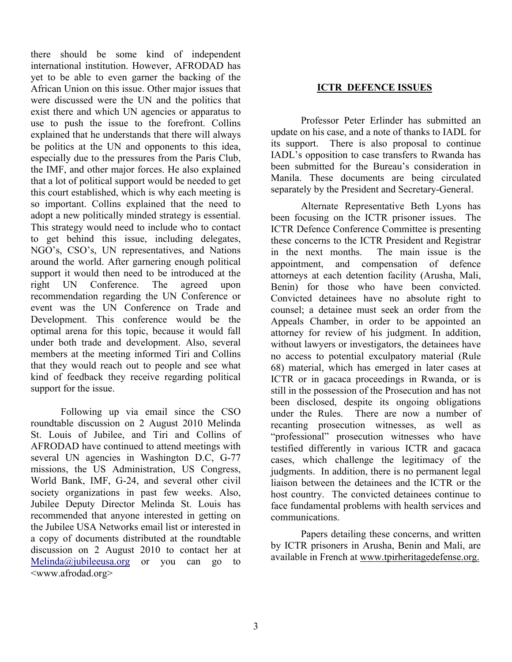there should be some kind of independent international institution. However, AFRODAD has yet to be able to even garner the backing of the African Union on this issue. Other major issues that were discussed were the UN and the politics that exist there and which UN agencies or apparatus to use to push the issue to the forefront. Collins explained that he understands that there will always be politics at the UN and opponents to this idea, especially due to the pressures from the Paris Club, the IMF, and other major forces. He also explained that a lot of political support would be needed to get this court established, which is why each meeting is so important. Collins explained that the need to adopt a new politically minded strategy is essential. This strategy would need to include who to contact to get behind this issue, including delegates, NGO's, CSO's, UN representatives, and Nations around the world. After garnering enough political support it would then need to be introduced at the right UN Conference. The agreed upon recommendation regarding the UN Conference or event was the UN Conference on Trade and Development. This conference would be the optimal arena for this topic, because it would fall under both trade and development. Also, several members at the meeting informed Tiri and Collins that they would reach out to people and see what kind of feedback they receive regarding political support for the issue.

Following up via email since the CSO roundtable discussion on 2 August 2010 Melinda St. Louis of Jubilee, and Tiri and Collins of AFRODAD have continued to attend meetings with several UN agencies in Washington D.C, G-77 missions, the US Administration, US Congress, World Bank, IMF, G-24, and several other civil society organizations in past few weeks. Also, Jubilee Deputy Director Melinda St. Louis has recommended that anyone interested in getting on the Jubilee USA Networks email list or interested in a copy of documents distributed at the roundtable discussion on 2 August 2010 to contact her at  $Melinda@jubileeusa.org$  or you can go to <www.afrodad.org>

#### **ICTR DEFENCE ISSUES**

 Professor Peter Erlinder has submitted an update on his case, and a note of thanks to IADL for its support. There is also proposal to continue IADL's opposition to case transfers to Rwanda has been submitted for the Bureau's consideration in Manila. These documents are being circulated separately by the President and Secretary-General.

 Alternate Representative Beth Lyons has been focusing on the ICTR prisoner issues. The ICTR Defence Conference Committee is presenting these concerns to the ICTR President and Registrar in the next months. The main issue is the appointment, and compensation of defence attorneys at each detention facility (Arusha, Mali, Benin) for those who have been convicted. Convicted detainees have no absolute right to counsel; a detainee must seek an order from the Appeals Chamber, in order to be appointed an attorney for review of his judgment. In addition, without lawyers or investigators, the detainees have no access to potential exculpatory material (Rule 68) material, which has emerged in later cases at ICTR or in gacaca proceedings in Rwanda, or is still in the possession of the Prosecution and has not been disclosed, despite its ongoing obligations under the Rules. There are now a number of recanting prosecution witnesses, as well as "professional" prosecution witnesses who have testified differently in various ICTR and gacaca cases, which challenge the legitimacy of the judgments. In addition, there is no permanent legal liaison between the detainees and the ICTR or the host country. The convicted detainees continue to face fundamental problems with health services and communications.

 Papers detailing these concerns, and written by ICTR prisoners in Arusha, Benin and Mali, are available in French at www.tpirheritagedefense.org.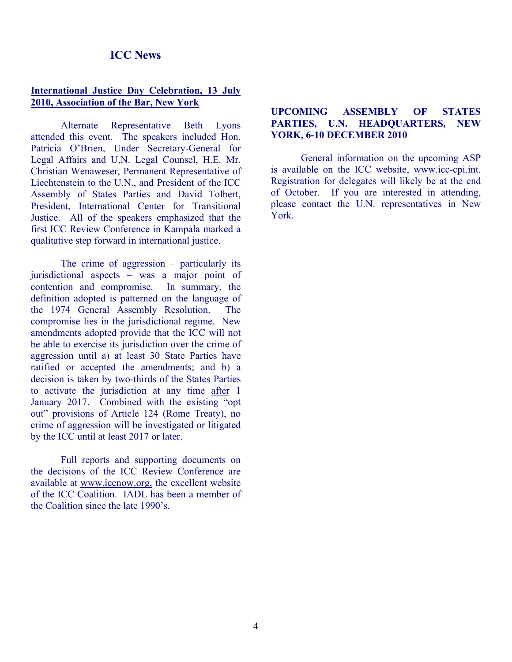### **ICC News**

#### **International Justice Day Celebration, 13 July 2010, Association of the Bar, New York**

 Alternate Representative Beth Lyons attended this event. The speakers included Hon. Patricia O'Brien, Under Secretary-General for Legal Affairs and U,N. Legal Counsel, H.E. Mr. Christian Wenaweser, Permanent Representative of Liechtenstein to the U.N., and President of the ICC Assembly of States Parties and David Tolbert, President, International Center for Transitional Justice. All of the speakers emphasized that the first ICC Review Conference in Kampala marked a qualitative step forward in international justice.

 The crime of aggression – particularly its jurisdictional aspects – was a major point of contention and compromise. In summary, the definition adopted is patterned on the language of the 1974 General Assembly Resolution. The compromise lies in the jurisdictional regime. New amendments adopted provide that the ICC will not be able to exercise its jurisdiction over the crime of aggression until a) at least 30 State Parties have ratified or accepted the amendments; and b) a decision is taken by two-thirds of the States Parties to activate the jurisdiction at any time after 1 January 2017. Combined with the existing "opt out" provisions of Article 124 (Rome Treaty), no crime of aggression will be investigated or litigated by the ICC until at least 2017 or later.

 Full reports and supporting documents on the decisions of the ICC Review Conference are available at www.iccnow.org, the excellent website of the ICC Coalition. IADL has been a member of the Coalition since the late 1990's.

#### **UPCOMING ASSEMBLY OF STATES PARTIES, U.N. HEADQUARTERS, NEW YORK, 6-10 DECEMBER 2010**

 General information on the upcoming ASP is available on the ICC website, www.icc-cpi.int. Registration for delegates will likely be at the end of October. If you are interested in attending, please contact the U.N. representatives in New York.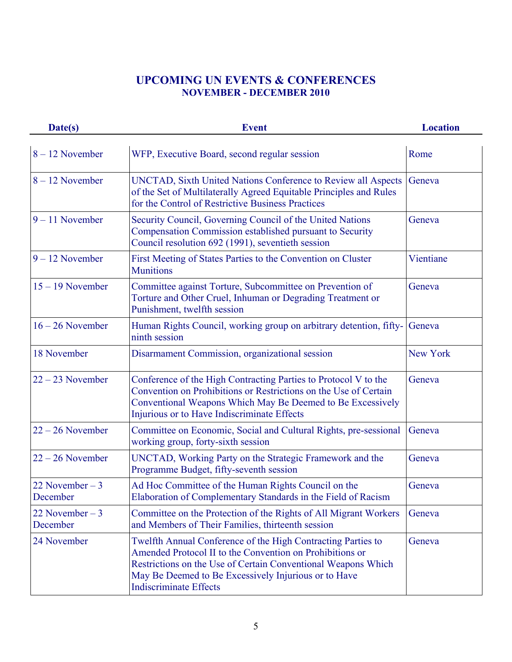## **UPCOMING UN EVENTS & CONFERENCES NOVEMBER - DECEMBER 2010**

| Date(s)                      | <b>Event</b>                                                                                                                                                                                                                                                                       | <b>Location</b> |
|------------------------------|------------------------------------------------------------------------------------------------------------------------------------------------------------------------------------------------------------------------------------------------------------------------------------|-----------------|
| $8 - 12$ November            | WFP, Executive Board, second regular session                                                                                                                                                                                                                                       | Rome            |
| $8 - 12$ November            | UNCTAD, Sixth United Nations Conference to Review all Aspects<br>of the Set of Multilaterally Agreed Equitable Principles and Rules<br>for the Control of Restrictive Business Practices                                                                                           | Geneva          |
| $9 - 11$ November            | Security Council, Governing Council of the United Nations<br>Compensation Commission established pursuant to Security<br>Council resolution 692 (1991), seventieth session                                                                                                         | Geneva          |
| $9 - 12$ November            | First Meeting of States Parties to the Convention on Cluster<br><b>Munitions</b>                                                                                                                                                                                                   | Vientiane       |
| $15 - 19$ November           | Committee against Torture, Subcommittee on Prevention of<br>Torture and Other Cruel, Inhuman or Degrading Treatment or<br>Punishment, twelfth session                                                                                                                              | Geneva          |
| $16 - 26$ November           | Human Rights Council, working group on arbitrary detention, fifty-<br>ninth session                                                                                                                                                                                                | Geneva          |
| 18 November                  | Disarmament Commission, organizational session                                                                                                                                                                                                                                     | New York        |
| $22 - 23$ November           | Conference of the High Contracting Parties to Protocol V to the<br>Convention on Prohibitions or Restrictions on the Use of Certain<br>Conventional Weapons Which May Be Deemed to Be Excessively<br>Injurious or to Have Indiscriminate Effects                                   | Geneva          |
| $22 - 26$ November           | Committee on Economic, Social and Cultural Rights, pre-sessional<br>working group, forty-sixth session                                                                                                                                                                             | Geneva          |
| $22 - 26$ November           | UNCTAD, Working Party on the Strategic Framework and the<br>Programme Budget, fifty-seventh session                                                                                                                                                                                | Geneva          |
| 22 November $-3$<br>December | Ad Hoc Committee of the Human Rights Council on the<br>Elaboration of Complementary Standards in the Field of Racism                                                                                                                                                               | Geneva          |
| 22 November $-3$<br>December | Committee on the Protection of the Rights of All Migrant Workers<br>and Members of Their Families, thirteenth session                                                                                                                                                              | Geneva          |
| 24 November                  | Twelfth Annual Conference of the High Contracting Parties to<br>Amended Protocol II to the Convention on Prohibitions or<br>Restrictions on the Use of Certain Conventional Weapons Which<br>May Be Deemed to Be Excessively Injurious or to Have<br><b>Indiscriminate Effects</b> | Geneva          |